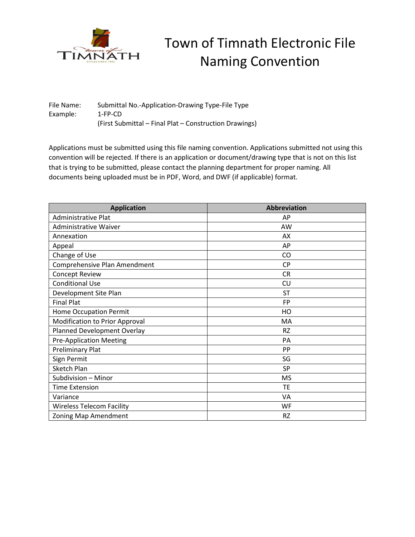

## Town of Timnath Electronic File Naming Convention

File Name: Submittal No.-Application-Drawing Type-File Type Example: 1-FP-CD (First Submittal – Final Plat – Construction Drawings)

Applications must be submitted using this file naming convention. Applications submitted not using this convention will be rejected. If there is an application or document/drawing type that is not on this list that is trying to be submitted, please contact the planning department for proper naming. All documents being uploaded must be in PDF, Word, and DWF (if applicable) format.

| <b>Application</b>               | <b>Abbreviation</b> |
|----------------------------------|---------------------|
| Administrative Plat              | AP                  |
| <b>Administrative Waiver</b>     | AW                  |
| Annexation                       | AX                  |
| Appeal                           | AP                  |
| Change of Use                    | CO                  |
| Comprehensive Plan Amendment     | <b>CP</b>           |
| <b>Concept Review</b>            | <b>CR</b>           |
| <b>Conditional Use</b>           | CU                  |
| Development Site Plan            | ST                  |
| <b>Final Plat</b>                | <b>FP</b>           |
| <b>Home Occupation Permit</b>    | HO                  |
| Modification to Prior Approval   | MA                  |
| Planned Development Overlay      | <b>RZ</b>           |
| <b>Pre-Application Meeting</b>   | PA                  |
| <b>Preliminary Plat</b>          | <b>PP</b>           |
| Sign Permit                      | SG                  |
| <b>Sketch Plan</b>               | SP                  |
| Subdivision - Minor              | <b>MS</b>           |
| <b>Time Extension</b>            | <b>TE</b>           |
| Variance                         | VA                  |
| <b>Wireless Telecom Facility</b> | WF                  |
| Zoning Map Amendment             | <b>RZ</b>           |